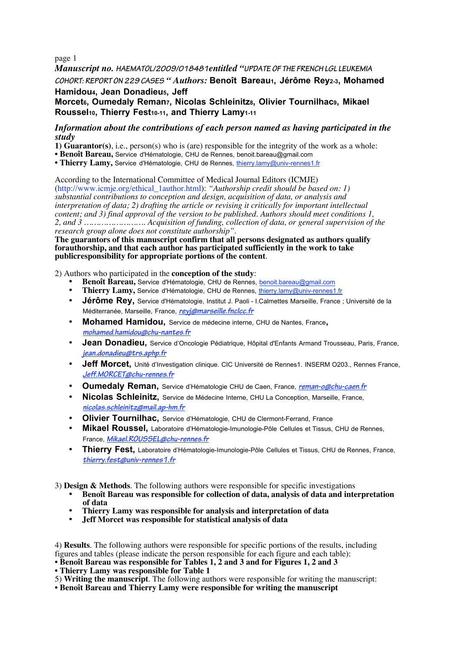page 1

*Manuscript no.* **HAEMATOL/2009/018481***entitled "***UPDATE OF THE FRENCH LGL LEUKEMIA**

**COHORT: REPORT ON 229 CASES** *" Authors:* **Benoît Bareau1, Jérôme Rey2-3, Mohamed Hamidou4, Jean Donadieu5, Jeff**

**Morcet6, Oumedaly Reman7, Nicolas Schleinitz8, Olivier Tournilhac9, Mikael** Roussel<sub>10</sub>, Thierry Fest<sub>10-11</sub>, and Thierry Lamy<sub>1-11</sub>

## *Information about the contributions of each person named as having participated in the study*

- **1) Guarantor(s)**, i.e., person(s) who is (are) responsible for the integrity of the work as a whole:
- **Benoît Bareau,** Service d'Hématologie, CHU de Rennes, benoit.bareau@gmail.com
- **Thierry Lamy,** Service d'Hématologie, CHU de Rennes, thierry.lamy@univ-rennes1.fr

According to the International Committee of Medical Journal Editors (ICMJE)

(http://www.icmje.org/ethical\_1author.html): *"Authorship credit should be based on: 1) substantial contributions to conception and design, acquisition of data, or analysis and interpretation of data; 2) drafting the article or revising it critically for important intellectual content; and 3) final approval of the version to be published. Authors should meet conditions 1, 2, and 3 ……………………. Acquisition of funding, collection of data, or general supervision of the research group alone does not constitute authorship".*

**The guarantors of this manuscript confirm that all persons designated as authors qualify forauthorship, and that each author has participated sufficiently in the work to take publicresponsibility for appropriate portions of the content**.

2) Authors who participated in the **conception of the study**:

- **Benoît Bareau,** Service d'Hématologie, CHU de Rennes, benoit.bareau@gmail.com
- **Thierry Lamy,** Service d'Hématologie, CHU de Rennes, thierry.lamy@univ-rennes1.fr
- **Jérôme Rey,** Service d'Hématologie, Institut J. Paoli I.Calmettes Marseille, France ; Université de la Méditerranée, Marseille, France, **reyj@marseille.fnclcc.fr**
- **Mohamed Hamidou,** Service de médecine interne, CHU de Nantes, France**, mohamed.hamidou@chu-nantes.fr**
- **Jean Donadieu,** Service d'Oncologie Pédiatrique, Hôpital d'Enfants Armand Trousseau, Paris, France, **jean.donadieu@trs.aphp.fr**
- **Jeff Morcet,** Unité d'Investigation clinique. CIC Université de Rennes1. INSERM 0203., Rennes France, **Jeff.MORCET@chu-rennes.fr**
- **Oumedaly Reman,** Service d'Hématologie CHU de Caen, France, **reman-o@chu-caen.fr**
- **Nicolas Schleinitz,** Service de Médecine Interne, CHU La Conception, Marseille, France, **nicolas.schleinitz@mail.ap-hm.fr**
- **Olivier Tournilhac,** Service d'Hématologie, CHU de Clermont-Ferrand, France
- **Mikael Roussel,** Laboratoire d'Hématologie-Imunologie-Pôle Cellules et Tissus, CHU de Rennes, France, **Mikael.ROUSSEL@chu-rennes.fr**
- **Thierry Fest,** Laboratoire d'Hématologie-Imunologie-Pôle Cellules et Tissus, CHU de Rennes, France, **thierry.fest@univ-rennes1.fr**

3) **Design & Methods**. The following authors were responsible for specific investigations

- **Benoît Bareau was responsible for collection of data, analysis of data and interpretation of data**
- **Thierry Lamy was responsible for analysis and interpretation of data**
- **Jeff Morcet was responsible for statistical analysis of data**

4) **Results**. The following authors were responsible for specific portions of the results, including figures and tables (please indicate the person responsible for each figure and each table):

• **Benoît Bareau was responsible for Tables 1, 2 and 3 and for Figures 1, 2 and 3**

• **Thierry Lamy was responsible for Table 1**

- 5) **Writing the manuscript**. The following authors were responsible for writing the manuscript:
- **Benoît Bareau and Thierry Lamy were responsible for writing the manuscript**